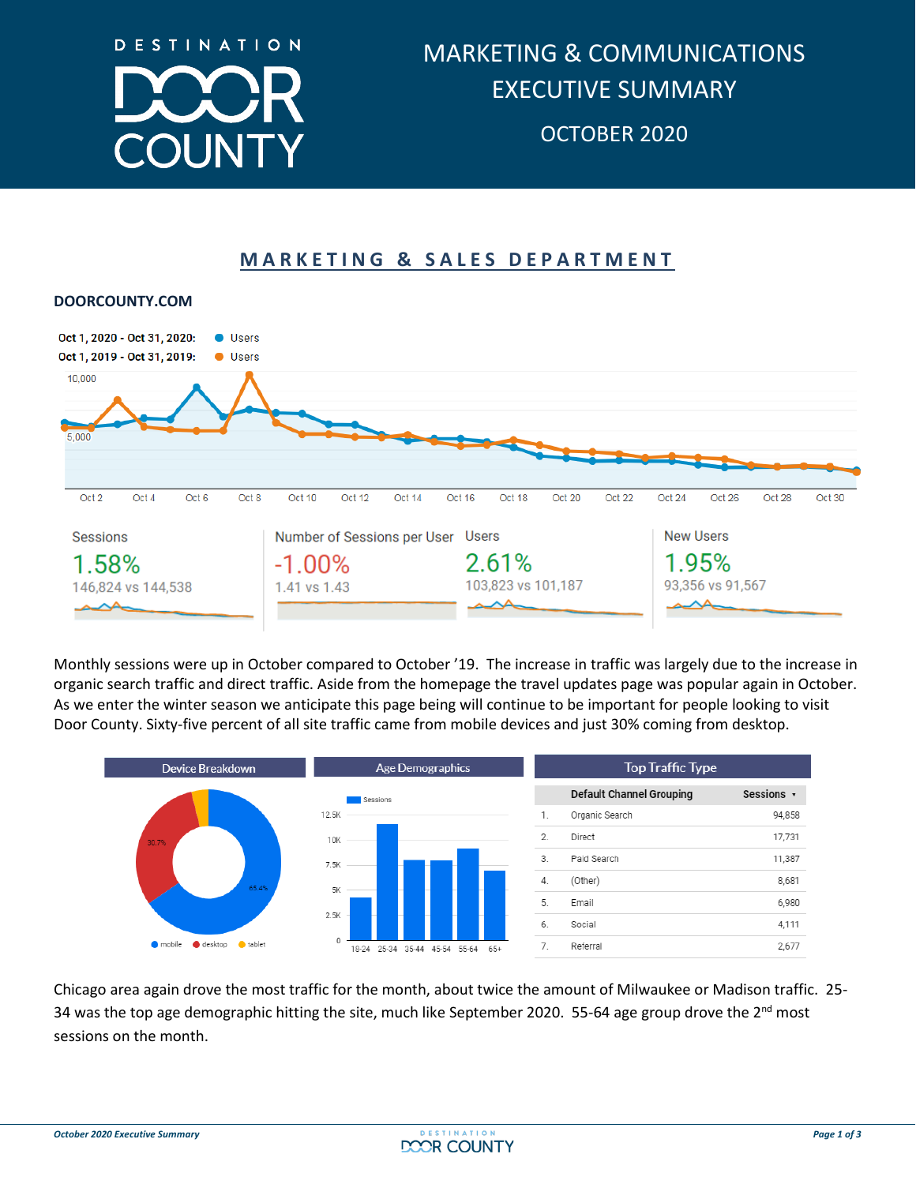

## **MARKETING & SALES DEPARTMENT**



#### **DOORCOUNTY.COM**

Monthly sessions were up in October compared to October '19. The increase in traffic was largely due to the increase in organic search traffic and direct traffic. Aside from the homepage the travel updates page was popular again in October. As we enter the winter season we anticipate this page being will continue to be important for people looking to visit Door County. Sixty-five percent of all site traffic came from mobile devices and just 30% coming from desktop.



Chicago area again drove the most traffic for the month, about twice the amount of Milwaukee or Madison traffic. 25- 34 was the top age demographic hitting the site, much like September 2020. 55-64 age group drove the  $2^{nd}$  most sessions on the month.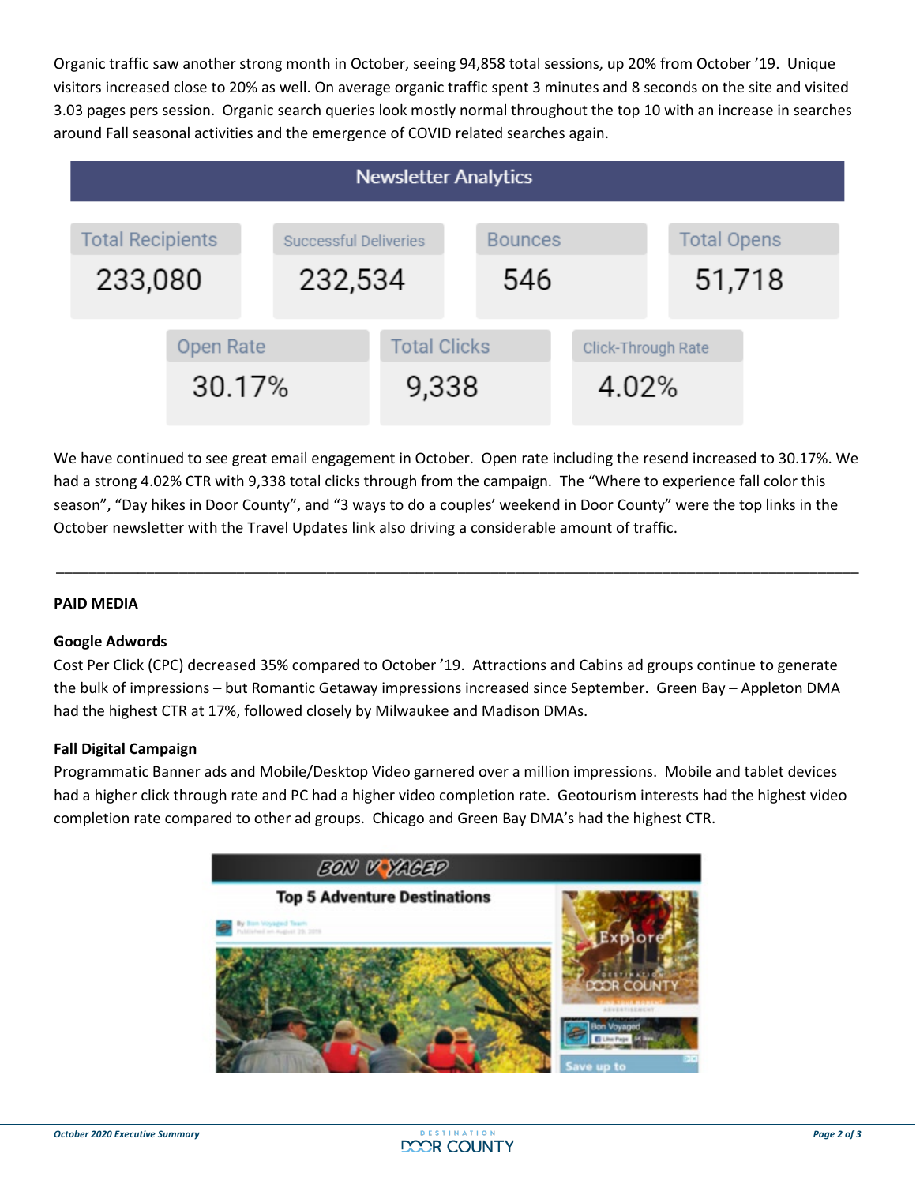Organic traffic saw another strong month in October, seeing 94,858 total sessions, up 20% from October '19. Unique visitors increased close to 20% as well. On average organic traffic spent 3 minutes and 8 seconds on the site and visited 3.03 pages pers session. Organic search queries look mostly normal throughout the top 10 with an increase in searches around Fall seasonal activities and the emergence of COVID related searches again.

| <b>Newsletter Analytics</b>        |                     |                                  |                              |                       |  |                             |                              |  |
|------------------------------------|---------------------|----------------------------------|------------------------------|-----------------------|--|-----------------------------|------------------------------|--|
| <b>Total Recipients</b><br>233,080 |                     | Successful Deliveries<br>232,534 |                              | <b>Bounces</b><br>546 |  |                             | <b>Total Opens</b><br>51,718 |  |
|                                    | Open Rate<br>30.17% |                                  | <b>Total Clicks</b><br>9,338 |                       |  | Click-Through Rate<br>4.02% |                              |  |

We have continued to see great email engagement in October. Open rate including the resend increased to 30.17%. We had a strong 4.02% CTR with 9,338 total clicks through from the campaign. The "Where to experience fall color this season", "Day hikes in Door County", and "3 ways to do a couples' weekend in Door County" were the top links in the October newsletter with the Travel Updates link also driving a considerable amount of traffic.

\_\_\_\_\_\_\_\_\_\_\_\_\_\_\_\_\_\_\_\_\_\_\_\_\_\_\_\_\_\_\_\_\_\_\_\_\_\_\_\_\_\_\_\_\_\_\_\_\_\_\_\_\_\_\_\_\_\_\_\_\_\_\_\_\_\_\_\_\_\_\_\_\_\_\_\_\_\_\_\_\_\_\_\_\_\_\_\_\_\_\_\_\_\_\_\_\_\_

### **PAID MEDIA**

#### **Google Adwords**

Cost Per Click (CPC) decreased 35% compared to October '19. Attractions and Cabins ad groups continue to generate the bulk of impressions – but Romantic Getaway impressions increased since September. Green Bay – Appleton DMA had the highest CTR at 17%, followed closely by Milwaukee and Madison DMAs.

#### **Fall Digital Campaign**

Programmatic Banner ads and Mobile/Desktop Video garnered over a million impressions. Mobile and tablet devices had a higher click through rate and PC had a higher video completion rate. Geotourism interests had the highest video completion rate compared to other ad groups. Chicago and Green Bay DMA's had the highest CTR.